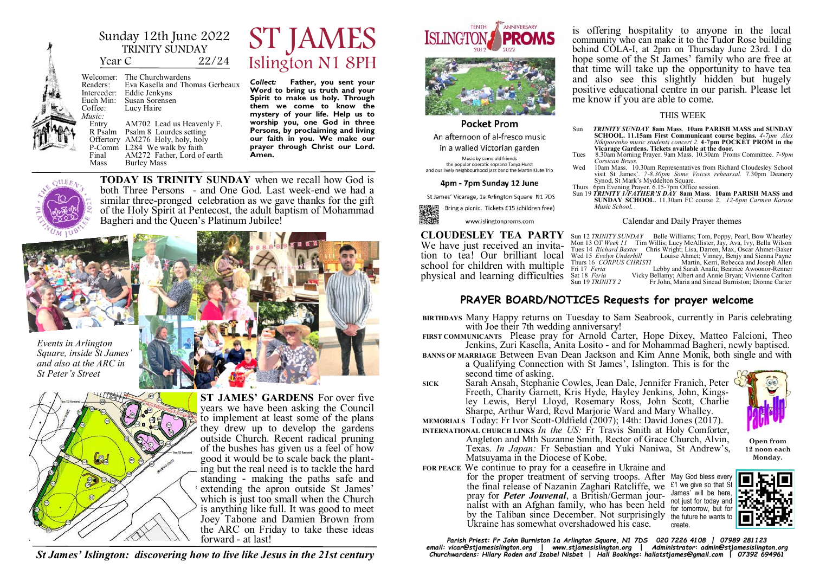

## ST JAMES Islington N1 8PH

*Collect:* **Father, you sent your Word to bring us truth and your Spirit to make us holy. Through them we come to know the mystery of your life. Help us to worship you, one God in three Persons, by proclaiming and living our faith in you. We make our prayer through Christ our Lord. Amen.** 



**TODAY IS TRINITY SUNDAY** when we recall how God is both Three Persons - and One God. Last week-end we had a similar three-pronged celebration as we gave thanks for the gift of the Holy Spirit at Pentecost, the adult baptism of Mohammad Bagheri and the Queen's Platinum Jubilee!



*Events in Arlington Square, inside St James' and also at the ARC in St Peter's Street*



**ST JAMES' GARDENS** For over five years we have been asking the Council to implement at least some of the plans they drew up to develop the gardens outside Church. Recent radical pruning of the bushes has given us a feel of how good it would be to scale back the planting but the real need is to tackle the hard standing - making the paths safe and extending the apron outside St James' which is just too small when the Church is anything like full. It was good to meet Joey Tabone and Damien Brown from the ARC on Friday to take these ideas forward - at last!

*St James' Islington: discovering how to live like Jesus in the 21st century*





**Pocket Prom** An afternoon of al-fresco music in a walled Victorian garden

Music by some old friends the popular operatic soprano Tanya Hurst and our lively neighbourhood jazz band the Martin Klute Trio

#### 4pm - 7pm Sunday 12 June

St James' Vicarage, 1a Arlington Square N1 7DS

TANG Bring a picnic. Tickets £15 (children free)

www.islingtonproms.com

**CLOUDESLEY TEA PARTY**  We have just received an invitation to tea! Our brilliant local school for children with multiple physical and learning difficulties

is offering hospitality to anyone in the local community who can make it to the Tudor Rose building behind COLA-I, at 2pm on Thursday June 23rd. I do hope some of the St James' family who are free at that time will take up the opportunity to have tea and also see this slightly hidden but hugely positive educational centre in our parish. Please let me know if you are able to come.

#### THIS WEEK

- Sun *TRINITY SUNDAY* **8am Mass**. **10am PARISH MASS and SUNDAY SCHOOL. 11.15am First Communicant course begins.** *4-7pm Alex Nikiporenko music students concert 2.* **4-7pm POCKET PROM in the Vicarage Gardens. Tickets available at the door.**
- Tues 8.30am Morning Prayer. 9am Mass. 10.30am Proms Committee. *7-9pm Corsican Brass.*
- Wed 10am Mass. 10.30am Representatives from Richard Cloudesley School visit St James'. *7-8.30pm Some Voices rehearsal.* 7.30pm Deanery Synod, St Mark's Myddelton Square. Thurs6pm Evening Prayer. 6.15-7pm Office session. Sun 19 *TRINITY 1/FATHER'S DAY* **8am Mass**. **10am PARISH MASS and**
- 
- **SUNDAY SCHOOL.** 11.30am FC course 2. *12-6pm Carmen Karuse Music School.*

#### Calendar and Daily Prayer themes

Sun 12 *TRINITY SUNDAY* Belle Williams; Tom, Poppy, Pearl, Bow Wheatley<br>Mon 13 O*T Week 11* Tim Willis; Lucy McAllister, Jay, Ava, Ivy, Bella Wilson<br>Tues 14 *Richard Baxter* Chris Wright; Lisa, Darren, Max, Oscar Ahmet-Bak Thurs 16 *CORPUS CHRISTI* Martin, Kerri, Rebecca and Joseph Allen<br>Fri 17 *Feria* Lebby and Sarah Anati; Beatrice Awoonor-Renner<br>Sat 18 *Feria* Vicky Bellamy; Albert and Annie Bryan; Vivienne Carlton<br>Sun 19 *TRINITY* 2 Fr J Lebby and Sarah Anafu; Beatrice Awoonor-Renner Vicky Bellamy; Albert and Annie Bryan; Vivienne Carlton Fr John, Maria and Sinead Burniston; Dionne Carter

#### **PRAYER BOARD/NOTICES Requests for prayer welcome**

**BIRTHDAYS** Many Happy returns on Tuesday to Sam Seabrook, currently in Paris celebrating with Joe their 7th wedding anniversary!

**FIRST COMMUNICANTS** Please pray for Arnold Carter, Hope Dixey, Matteo Falcioni, Theo Jenkins, Zuri Kasella, Anita Losito - and for Mohammad Bagheri, newly baptised.

**BANNS OF MARRIAGE** Between Evan Dean Jackson and Kim Anne Monik, both single and with a Qualifying Connection with St James', Islington. This is for the second time of asking.

**SICK** Sarah Ansah, Stephanie Cowles, Jean Dale, Jennifer Franich, Peter Freeth, Charity Garnett, Kris Hyde, Hayley Jenkins, John, Kingsley Lewis, Beryl Lloyd, Rosemary Ross, John Scott, Charlie Sharpe, Arthur Ward, Revd Marjorie Ward and Mary Whalley.



**Open from 12 noon each Monday.**

**MEMORIALS** Today: Fr Ivor Scott-Oldfield (2007); 14th: David Jones (2017). **INTERNATIONAL CHURCH LINKS** *In the US:* Fr Travis Smith at Holy Comforter,

Angleton and Mth Suzanne Smith, Rector of Grace Church, Alvin, Texas. *In Japan:* Fr Sebastian and Yuki Naniwa, St Andrew's, Matsuyama in the Diocese of Kobe.

**FOR PEACE** We continue to pray for a ceasefire in Ukraine and for the proper treatment of serving troops. After May God bless every the final release of Nazanin Zaghari Ratcliffe, we £1 we give so that St pray for *Peter Jouvenal*, a British/German journalist with an Afghan family, who has been held by the Taliban since December. Not surprisingly Ukraine has somewhat overshadowed his case.

James' will be here, not just for today and for tomorrow, but for the future he wants to create.



Parish Priest: Fr John Burniston 1a Arlington Square, N1 7DS 020 7226 4108 | 07989 281123<br>email: vicar@stjamesislington.org | www.stjamesislington.org | Administrator: admin@stjamesislington.org *Churchwardens: Hilary Roden and Isabel Nisbet* **|** *Hall Bookings: hallatstjames@gmail.com* **|** *07392 694961*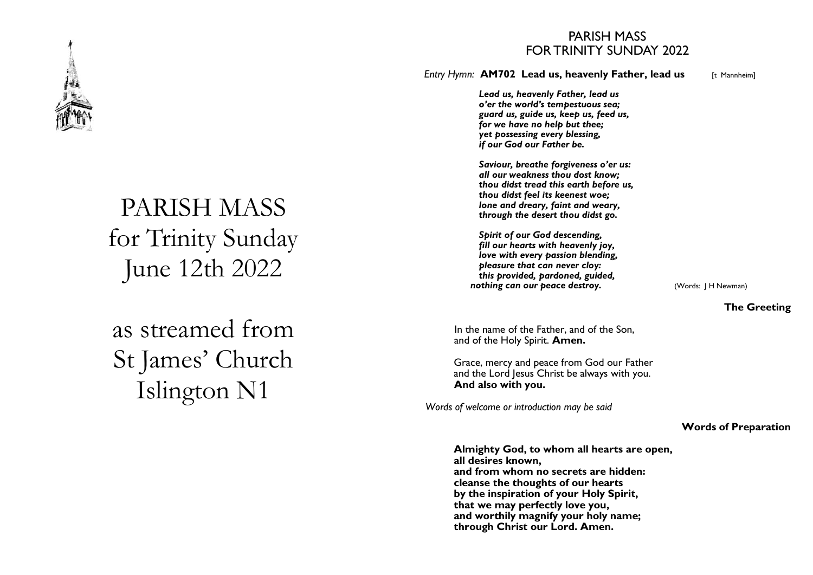## PARISH MASS FOR TRINITY SUNDAY 2022

*Entry Hymn:* **AM702 Lead us, heavenly Father, lead us Fig. Mannheim1** 

*Lead us, heavenly Father, lead us o'er the world's tempestuous sea; guard us, guide us, keep us, feed us, for we have no help but thee; yet possessing every blessing, if our God our Father be.*

*Saviour, breathe forgiveness o'er us: all our weakness thou dost know; thou didst tread this earth before us, thou didst feel its keenest woe; lone and dreary, faint and weary, through the desert thou didst go.*

*Spirit of our God descending, fill our hearts with heavenly joy, love with every passion blending, pleasure that can never cloy: this provided, pardoned, guided,* **nothing can our peace destroy. Conservery** (Words: I H Newman)

## **The Greeting**

In the name of the Father, and of the Son, and of the Holy Spirit. **Amen.**

Grace, mercy and peace from God our Father and the Lord Jesus Christ be always with you. **And also with you.** 

*Words of welcome or introduction may be said*

### **Words of Preparation**

**Almighty God, to whom all hearts are open, all desires known, and from whom no secrets are hidden: cleanse the thoughts of our hearts by the inspiration of your Holy Spirit, that we may perfectly love you, and worthily magnify your holy name; through Christ our Lord. Amen.** 

# PARISH MASS for Trinity Sunday June 12th 2022

as streamed from St James' Church Islington N1

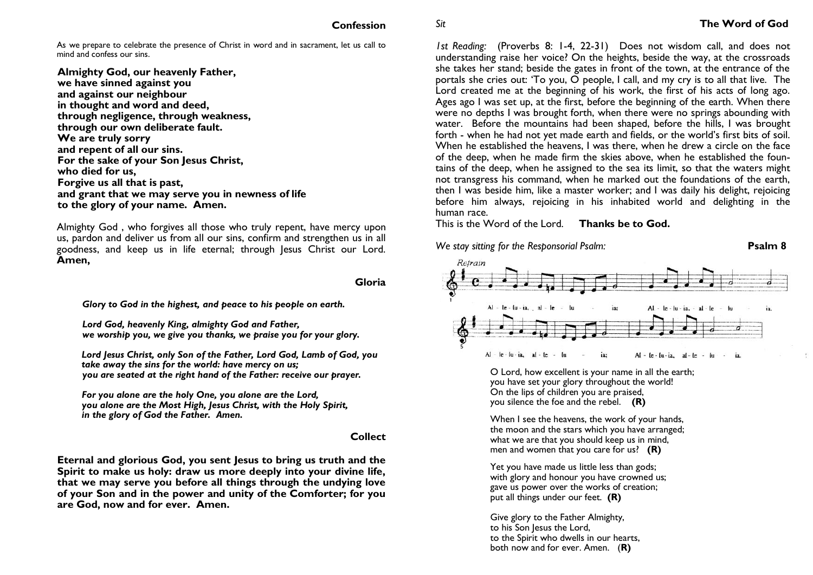**Almighty God, our heavenly Father, we have sinned against you and against our neighbour in thought and word and deed, through negligence, through weakness, through our own deliberate fault. We are truly sorry and repent of all our sins. For the sake of your Son Jesus Christ, who died for us, Forgive us all that is past, and grant that we may serve you in newness of life to the glory of your name. Amen.** 

Almighty God , who forgives all those who truly repent, have mercy upon us, pardon and deliver us from all our sins, confirm and strengthen us in all goodness, and keep us in life eternal; through Jesus Christ our Lord. **Amen,**

#### **Gloria**

*Glory to God in the highest, and peace to his people on earth.*

*Lord God, heavenly King, almighty God and Father, we worship you, we give you thanks, we praise you for your glory.* 

*Lord Jesus Christ, only Son of the Father, Lord God, Lamb of God, you take away the sins for the world: have mercy on us; you are seated at the right hand of the Father: receive our prayer.*

*For you alone are the holy One, you alone are the Lord, you alone are the Most High, Jesus Christ, with the Holy Spirit, in the glory of God the Father. Amen.* 

#### **Collect**

**Eternal and glorious God, you sent Jesus to bring us truth and the Spirit to make us holy: draw us more deeply into your divine life, that we may serve you before all things through the undying love of your Son and in the power and unity of the Comforter; for you are God, now and for ever. Amen.** 

*1st Reading:* (Proverbs 8: 1-4, 22-31) Does not wisdom call, and does not understanding raise her voice? On the heights, beside the way, at the crossroads she takes her stand; beside the gates in front of the town, at the entrance of the portals she cries out: 'To you,  $\overline{O}$  people, I call, and my cry is to all that live. The Lord created me at the beginning of his work, the first of his acts of long ago. Ages ago I was set up, at the first, before the beginning of the earth. When there were no depths I was brought forth, when there were no springs abounding with water. Before the mountains had been shaped, before the hills, I was brought forth - when he had not yet made earth and fields, or the world's first bits of soil. When he established the heavens, I was there, when he drew a circle on the face of the deep, when he made firm the skies above, when he established the fountains of the deep, when he assigned to the sea its limit, so that the waters might not transgress his command, when he marked out the foundations of the earth, then I was beside him, like a master worker; and I was daily his delight, rejoicing before him always, rejoicing in his inhabited world and delighting in the human race.

This is the Word of the Lord. **Thanks be to God.** 

*We stay sitting for the Responsorial Psalm:* **Psalm 8**



O Lord, how excellent is your name in all the earth; you have set your glory throughout the world! On the lips of children you are praised, you silence the foe and the rebel. **(R)**

When I see the heavens, the work of your hands, the moon and the stars which you have arranged; what we are that you should keep us in mind, men and women that you care for us? **(R)**

Yet you have made us little less than gods; with glory and honour you have crowned us; gave us power over the works of creation; put all things under our feet. **(R)**

Give glory to the Father Almighty, to his Son Jesus the Lord, to the Spirit who dwells in our hearts, both now and for ever. Amen. (**R)**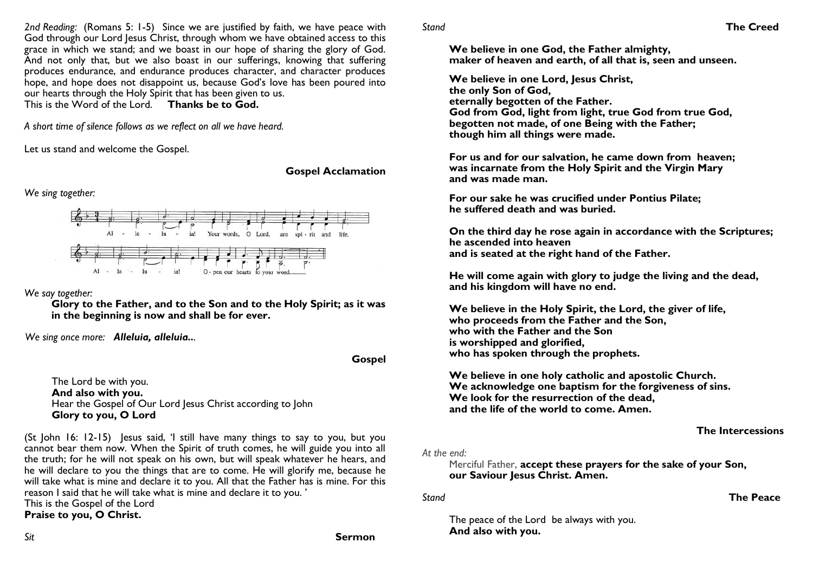*2nd Reading:* (Romans 5: 1-5) Since we are justified by faith, we have peace with God through our Lord Jesus Christ, through whom we have obtained access to this grace in which we stand; and we boast in our hope of sharing the glory of God. And not only that, but we also boast in our sufferings, knowing that suffering produces endurance, and endurance produces character, and character produces hope, and hope does not disappoint us, because God's love has been poured into our hearts through the Holy Spirit that has been given to us. This is the Word of the Lord. **Thanks be to God.** 

*A short time of silence follows as we reflect on all we have heard.* 

Let us stand and welcome the Gospel.

#### **Gospel Acclamation**

*We sing together:*



*We say together:*

**Glory to the Father, and to the Son and to the Holy Spirit; as it was in the beginning is now and shall be for ever.** 

*We sing once more: Alleluia, alleluia...*

**Gospel**

The Lord be with you. **And also with you.**  Hear the Gospel of Our Lord Jesus Christ according to John **Glory to you, O Lord**

(St John 16: 12-15) Jesus said, 'I still have many things to say to you, but you cannot bear them now. When the Spirit of truth comes, he will guide you into all the truth; for he will not speak on his own, but will speak whatever he hears, and he will declare to you the things that are to come. He will glorify me, because he will take what is mine and declare it to you. All that the Father has is mine. For this reason I said that he will take what is mine and declare it to you. '

This is the Gospel of the Lord **Praise to you, O Christ.** 

**We believe in one God, the Father almighty, maker of heaven and earth, of all that is, seen and unseen.** 

We believe in one Lord, Jesus Christ, **the only Son of God, eternally begotten of the Father. God from God, light from light, true God from true God, begotten not made, of one Being with the Father; though him all things were made.**

**For us and for our salvation, he came down from heaven; was incarnate from the Holy Spirit and the Virgin Mary and was made man.** 

**For our sake he was crucified under Pontius Pilate; he suffered death and was buried.**

**On the third day he rose again in accordance with the Scriptures; he ascended into heaven and is seated at the right hand of the Father.**

**He will come again with glory to judge the living and the dead, and his kingdom will have no end.** 

**We believe in the Holy Spirit, the Lord, the giver of life, who proceeds from the Father and the Son, who with the Father and the Son is worshipped and glorified, who has spoken through the prophets.** 

**We believe in one holy catholic and apostolic Church. We acknowledge one baptism for the forgiveness of sins. We look for the resurrection of the dead, and the life of the world to come. Amen.** 

### **The Intercessions**

*At the end:*

Merciful Father, **accept these prayers for the sake of your Son, our Saviour Jesus Christ. Amen.** 

*Stand* **The Peace**

The peace of the Lord be always with you. **And also with you.**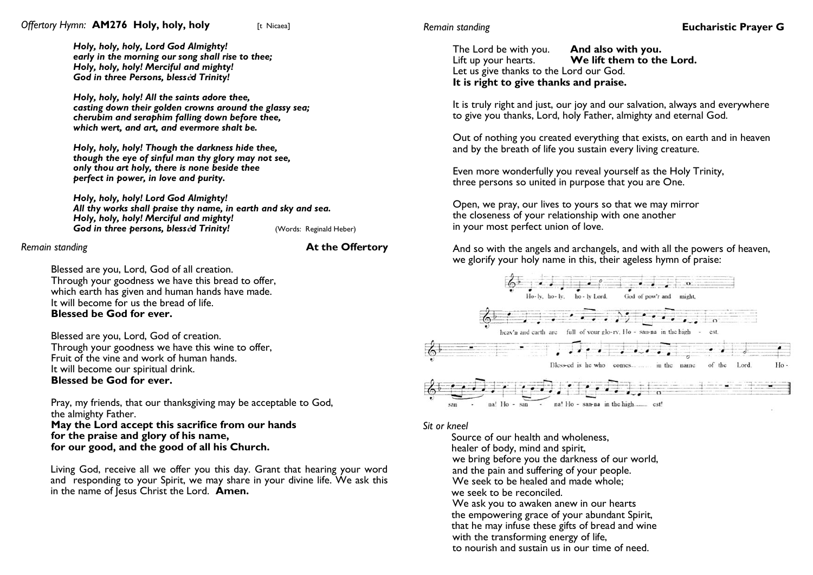*Holy, holy, holy, Lord God Almighty! early in the morning our song shall rise to thee; Holy, holy, holy! Merciful and mighty! God in three Persons, bless***è***d Trinity!*

*Holy, holy, holy! All the saints adore thee, casting down their golden crowns around the glassy sea; cherubim and seraphim falling down before thee, which wert, and art, and evermore shalt be.*

*Holy, holy, holy! Though the darkness hide thee, though the eye of sinful man thy glory may not see, only thou art holy, there is none beside thee perfect in power, in love and purity.*

*Holy, holy, holy! Lord God Almighty! All thy works shall praise thy name, in earth and sky and sea. Holy, holy, holy! Merciful and mighty! God in three persons, bless***è***d Trinity!* (Words: Reginald Heber)

#### **Remain standing Community Community Community Community Community Community Community Community Community Community Community Community Community Community Community Community Community Community Community Community Commu**

Blessed are you, Lord, God of all creation. Through your goodness we have this bread to offer, which earth has given and human hands have made. It will become for us the bread of life. **Blessed be God for ever.** 

Blessed are you, Lord, God of creation. Through your goodness we have this wine to offer, Fruit of the vine and work of human hands. It will become our spiritual drink. **Blessed be God for ever.** 

Pray, my friends, that our thanksgiving may be acceptable to God, the almighty Father.

**May the Lord accept this sacrifice from our hands for the praise and glory of his name, for our good, and the good of all his Church.** 

Living God, receive all we offer you this day. Grant that hearing your word and responding to your Spirit, we may share in your divine life. We ask this in the name of Jesus Christ the Lord. **Amen.** 

The Lord be with you. **And also with you. We lift them to the Lord.** Let us give thanks to the Lord our God. **It is right to give thanks and praise.**

It is truly right and just, our joy and our salvation, always and everywhere to give you thanks, Lord, holy Father, almighty and eternal God.

Out of nothing you created everything that exists, on earth and in heaven and by the breath of life you sustain every living creature.

Even more wonderfully you reveal yourself as the Holy Trinity, three persons so united in purpose that you are One.

Open, we pray, our lives to yours so that we may mirror the closeness of your relationship with one another in your most perfect union of love.

And so with the angels and archangels, and with all the powers of heaven, we glorify your holy name in this, their ageless hymn of praise:



#### *Sit or kneel*

Source of our health and wholeness,

healer of body, mind and spirit, we bring before you the darkness of our world, and the pain and suffering of your people.

We seek to be healed and made whole;

we seek to be reconciled.

We ask you to awaken anew in our hearts the empowering grace of your abundant Spirit, that he may infuse these gifts of bread and wine with the transforming energy of life, to nourish and sustain us in our time of need.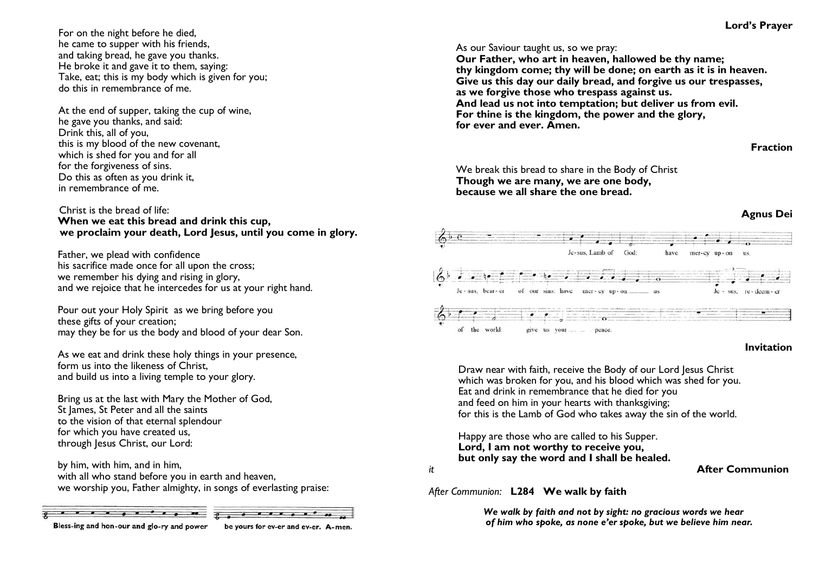For on the night before he died, he came to supper with his friends, and taking bread, he gave you thanks. He broke it and gave it to them, saying: Take, eat; this is my body which is given for you; do this in remembrance of me.

At the end of supper, taking the cup of wine, he gave you thanks, and said: Drink this, all of you, this is my blood of the new covenant, which is shed for you and for all for the forgiveness of sins. Do this as often as you drink it, in remembrance of me.

### Christ is the bread of life:

**When we eat this bread and drink this cup, we proclaim your death, Lord Jesus, until you come in glory.**

Father, we plead with confidence his sacrifice made once for all upon the cross; we remember his dying and rising in glory, and we rejoice that he intercedes for us at your right hand.

Pour out your Holy Spirit as we bring before you these gifts of your creation; may they be for us the body and blood of your dear Son.

As we eat and drink these holy things in your presence, form us into the likeness of Christ, and build us into a living temple to your glory.

Bring us at the last with Mary the Mother of God, St James, St Peter and all the saints to the vision of that eternal splendour for which you have created us, through Jesus Christ, our Lord:

by him, with him, and in him, with all who stand before you in earth and heaven, we worship you, Father almighty, in songs of everlasting praise:

#### $\mathbf{r}$  ,  $\mathbf{r}$

 $\cdot \cdot \cdot \cdot$ 

Bless-ing and hon-our and glo-ry and power

be yours for ev-er and ev-er. A-men.

As our Saviour taught us, so we pray:

**Our Father, who art in heaven, hallowed be thy name; thy kingdom come; thy will be done; on earth as it is in heaven. Give us this day our daily bread, and forgive us our trespasses, as we forgive those who trespass against us. And lead us not into temptation; but deliver us from evil. For thine is the kingdom, the power and the glory, for ever and ever. Amen.** 

#### **Fraction**

We break this bread to share in the Body of Christ **Though we are many, we are one body, because we all share the one bread.** 

#### **Agnus Dei**



#### **Invitation**

Draw near with faith, receive the Body of our Lord Jesus Christ which was broken for you, and his blood which was shed for you. Eat and drink in remembrance that he died for you and feed on him in your hearts with thanksgiving; for this is the Lamb of God who takes away the sin of the world.

Happy are those who are called to his Supper. **Lord, I am not worthy to receive you, but only say the word and I shall be healed.** 

#### *it* **After Communion**

#### *After Communion:* **L284 We walk by faith**

*We walk by faith and not by sight: no gracious words we hear of him who spoke, as none e'er spoke, but we believe him near.*